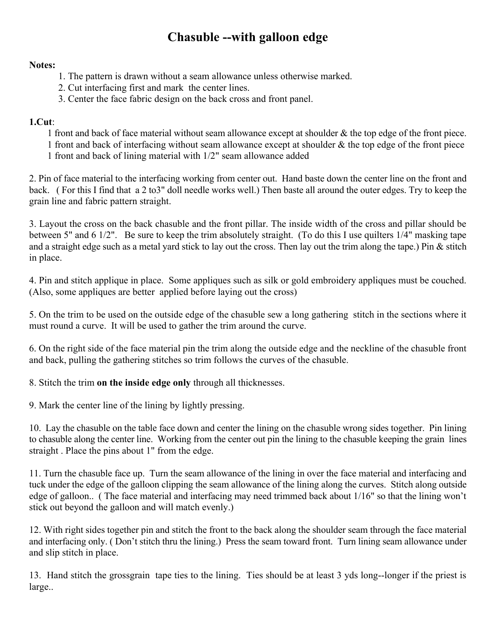# **Chasuble --with galloon edge**

#### **Notes:**

- 1. The pattern is drawn without a seam allowance unless otherwise marked.
- 2. Cut interfacing first and mark the center lines.
- 3. Center the face fabric design on the back cross and front panel.

#### **1.Cut**:

1 front and back of face material without seam allowance except at shoulder & the top edge of the front piece. 1 front and back of interfacing without seam allowance except at shoulder & the top edge of the front piece 1 front and back of lining material with 1/2" seam allowance added

2. Pin of face material to the interfacing working from center out. Hand baste down the center line on the front and back. ( For this I find that a 2 to3" doll needle works well.) Then baste all around the outer edges. Try to keep the grain line and fabric pattern straight.

3. Layout the cross on the back chasuble and the front pillar. The inside width of the cross and pillar should be between 5" and 6 1/2". Be sure to keep the trim absolutely straight. (To do this I use quilters 1/4" masking tape and a straight edge such as a metal yard stick to lay out the cross. Then lay out the trim along the tape.) Pin & stitch in place.

4. Pin and stitch applique in place. Some appliques such as silk or gold embroidery appliques must be couched. (Also, some appliques are better applied before laying out the cross)

5. On the trim to be used on the outside edge of the chasuble sew a long gathering stitch in the sections where it must round a curve. It will be used to gather the trim around the curve.

6. On the right side of the face material pin the trim along the outside edge and the neckline of the chasuble front and back, pulling the gathering stitches so trim follows the curves of the chasuble.

8. Stitch the trim **on the inside edge only** through all thicknesses.

9. Mark the center line of the lining by lightly pressing.

10. Lay the chasuble on the table face down and center the lining on the chasuble wrong sides together. Pin lining to chasuble along the center line. Working from the center out pin the lining to the chasuble keeping the grain lines straight . Place the pins about 1" from the edge.

11. Turn the chasuble face up. Turn the seam allowance of the lining in over the face material and interfacing and tuck under the edge of the galloon clipping the seam allowance of the lining along the curves. Stitch along outside edge of galloon.. ( The face material and interfacing may need trimmed back about 1/16" so that the lining won't stick out beyond the galloon and will match evenly.)

12. With right sides together pin and stitch the front to the back along the shoulder seam through the face material and interfacing only. ( Don't stitch thru the lining.) Press the seam toward front. Turn lining seam allowance under and slip stitch in place.

13. Hand stitch the grossgrain tape ties to the lining. Ties should be at least 3 yds long--longer if the priest is large..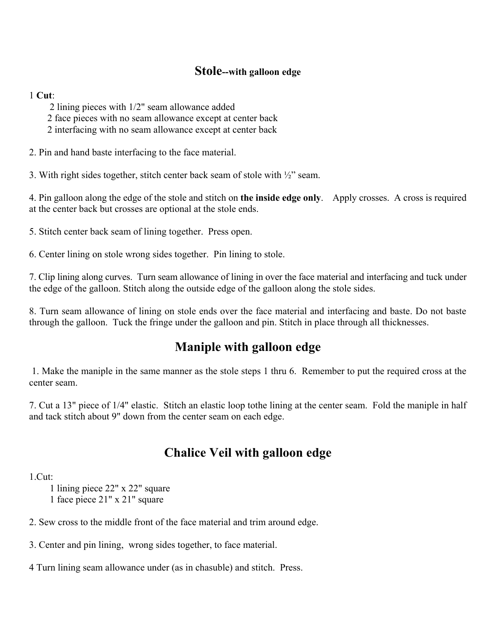### **Stole--with galloon edge**

#### 1 **Cut**:

2 lining pieces with 1/2" seam allowance added

2 face pieces with no seam allowance except at center back

2 interfacing with no seam allowance except at center back

2. Pin and hand baste interfacing to the face material.

3. With right sides together, stitch center back seam of stole with ½" seam.

4. Pin galloon along the edge of the stole and stitch on **the inside edge only**. Apply crosses. A cross is required at the center back but crosses are optional at the stole ends.

5. Stitch center back seam of lining together. Press open.

6. Center lining on stole wrong sides together. Pin lining to stole.

7. Clip lining along curves. Turn seam allowance of lining in over the face material and interfacing and tuck under the edge of the galloon. Stitch along the outside edge of the galloon along the stole sides.

8. Turn seam allowance of lining on stole ends over the face material and interfacing and baste. Do not baste through the galloon. Tuck the fringe under the galloon and pin. Stitch in place through all thicknesses.

## **Maniple with galloon edge**

 1. Make the maniple in the same manner as the stole steps 1 thru 6. Remember to put the required cross at the center seam.

7. Cut a 13" piece of 1/4" elastic. Stitch an elastic loop tothe lining at the center seam. Fold the maniple in half and tack stitch about 9" down from the center seam on each edge.

## **Chalice Veil with galloon edge**

1.Cut:

1 lining piece 22" x 22" square

1 face piece 21" x 21" square

2. Sew cross to the middle front of the face material and trim around edge.

3. Center and pin lining, wrong sides together, to face material.

4 Turn lining seam allowance under (as in chasuble) and stitch. Press.